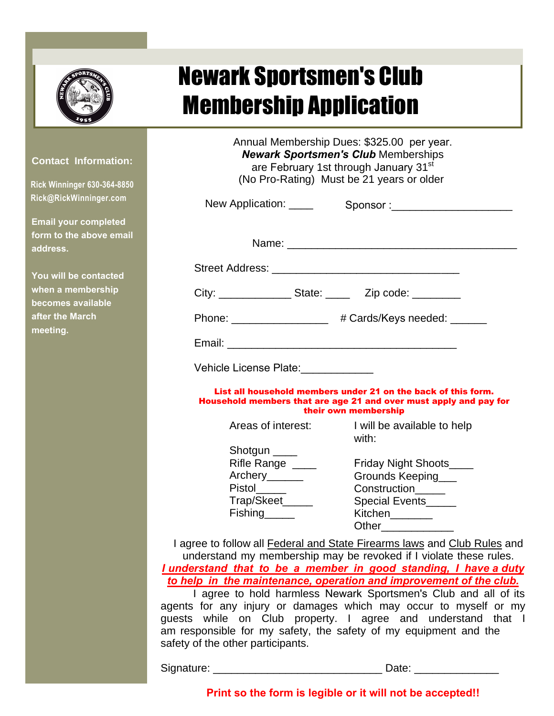## Newark Sportsmen's Club Mamharehin Annliaatian

## **Contact Information:**

**Staci Withrow (815) 600-4104**

**NSCSecretary2@outlook.com**

**Email your completed form to the above email address.**

**You will be contacted when a membership becomes available after the March meeting.**

| MCIIINGI ƏIIIN HUNIICALIVII                                                                                  |                                                                                                                                                                                                                               |  |  |  |  |
|--------------------------------------------------------------------------------------------------------------|-------------------------------------------------------------------------------------------------------------------------------------------------------------------------------------------------------------------------------|--|--|--|--|
|                                                                                                              | Annual Membership Dues: \$325.00 per year.<br><b>Newark Sportsmen's Club Memberships</b><br>are February 1st through January 31 <sup>st</sup><br>(No Pro-Rating) Must be 21 years or older                                    |  |  |  |  |
|                                                                                                              | New Application: _____ Sponsor: ________________________                                                                                                                                                                      |  |  |  |  |
|                                                                                                              | Name: Name: Name: Name: Name: Name: Name: Name: Name: Name: Name: Name: Name: Name: Name: Name: Name: Name: Name: Name: Name: Name: Name: Name: Name: Name: Name: Name: Name: Name: Name: Name: Name: Name: Name: Name: Name: |  |  |  |  |
|                                                                                                              |                                                                                                                                                                                                                               |  |  |  |  |
|                                                                                                              | City: ________________State: _________Zip code: ___________                                                                                                                                                                   |  |  |  |  |
|                                                                                                              | Phone: ___________________ # Cards/Keys needed: ______                                                                                                                                                                        |  |  |  |  |
|                                                                                                              |                                                                                                                                                                                                                               |  |  |  |  |
| Vehicle License Plate: Vehicle License Plate:                                                                |                                                                                                                                                                                                                               |  |  |  |  |
|                                                                                                              | List all household members under 21 on the back of this form.<br>Household members that are age 21 and over must apply and pay for<br>their own membership                                                                    |  |  |  |  |
|                                                                                                              | Areas of interest: I will be available to help<br>with:                                                                                                                                                                       |  |  |  |  |
| Shotgun _____<br>Rifle Range<br>Archery______<br>Pistol ____<br>Trap/Skeet_____<br>Fishing <sub>______</sub> | Friday Night Shoots<br>Grounds Keeping<br>Construction <sub>_____</sub><br>Special Events_____<br>Kitchen<br>Other                                                                                                            |  |  |  |  |
|                                                                                                              | I agree to follow all <b>Federal and State Firearms laws</b> and Club Rules and<br>understand my membership may be revoked if I violate these rules.                                                                          |  |  |  |  |
|                                                                                                              | I understand that to be a member in good standing, I have a duty<br>to help in the maintenance, operation and improvement of the club.                                                                                        |  |  |  |  |
|                                                                                                              | I agree to hold harmless Newark Sportsmen's Club and all of its                                                                                                                                                               |  |  |  |  |
|                                                                                                              | coante for any injury or damages which may occur to myself or my                                                                                                                                                              |  |  |  |  |

agents for any injury or damages which may occur to myself or my guests while on Club property. I agree and understand that I am responsible for my safety, the safety of my equipment and the safety of the other participants.

Signature: \_\_\_\_\_\_\_\_\_\_\_\_\_\_\_\_\_\_\_\_\_\_\_\_\_\_\_\_ Date: \_\_\_\_\_\_\_\_\_\_\_\_\_\_

**Print so the form is legible or it will not be accepted!!**